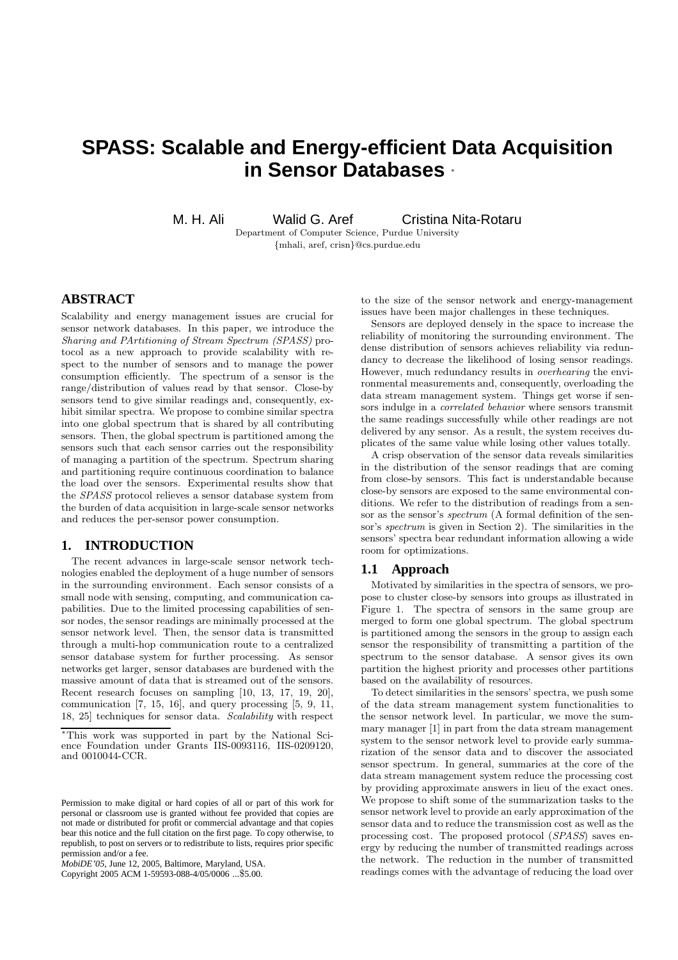# **SPASS: Scalable and Energy-efficient Data Acquisition in Sensor Databases** <sup>∗</sup>

M. H. Ali Walid G. Aref Cristina Nita-Rotaru

Department of Computer Science, Purdue University {mhali, aref, crisn}@cs.purdue.edu

# **ABSTRACT**

Scalability and energy management issues are crucial for sensor network databases. In this paper, we introduce the Sharing and PArtitioning of Stream Spectrum (SPASS) protocol as a new approach to provide scalability with respect to the number of sensors and to manage the power consumption efficiently. The spectrum of a sensor is the range/distribution of values read by that sensor. Close-by sensors tend to give similar readings and, consequently, exhibit similar spectra. We propose to combine similar spectra into one global spectrum that is shared by all contributing sensors. Then, the global spectrum is partitioned among the sensors such that each sensor carries out the responsibility of managing a partition of the spectrum. Spectrum sharing and partitioning require continuous coordination to balance the load over the sensors. Experimental results show that the SPASS protocol relieves a sensor database system from the burden of data acquisition in large-scale sensor networks and reduces the per-sensor power consumption.

## **1. INTRODUCTION**

The recent advances in large-scale sensor network technologies enabled the deployment of a huge number of sensors in the surrounding environment. Each sensor consists of a small node with sensing, computing, and communication capabilities. Due to the limited processing capabilities of sensor nodes, the sensor readings are minimally processed at the sensor network level. Then, the sensor data is transmitted through a multi-hop communication route to a centralized sensor database system for further processing. As sensor networks get larger, sensor databases are burdened with the massive amount of data that is streamed out of the sensors. Recent research focuses on sampling [10, 13, 17, 19, 20], communication  $[7, 15, 16]$ , and query processing  $[5, 9, 11]$ , 18, 25] techniques for sensor data. Scalability with respect

*MobiDE'05,* June 12, 2005, Baltimore, Maryland, USA.

Copyright 2005 ACM 1-59593-088-4/05/0006 ...\$5.00.

to the size of the sensor network and energy-management issues have been major challenges in these techniques.

Sensors are deployed densely in the space to increase the reliability of monitoring the surrounding environment. The dense distribution of sensors achieves reliability via redundancy to decrease the likelihood of losing sensor readings. However, much redundancy results in overhearing the environmental measurements and, consequently, overloading the data stream management system. Things get worse if sensors indulge in a correlated behavior where sensors transmit the same readings successfully while other readings are not delivered by any sensor. As a result, the system receives duplicates of the same value while losing other values totally.

A crisp observation of the sensor data reveals similarities in the distribution of the sensor readings that are coming from close-by sensors. This fact is understandable because close-by sensors are exposed to the same environmental conditions. We refer to the distribution of readings from a sensor as the sensor's *spectrum* (A formal definition of the sensor's *spectrum* is given in Section 2). The similarities in the sensors' spectra bear redundant information allowing a wide room for optimizations.

## **1.1 Approach**

Motivated by similarities in the spectra of sensors, we propose to cluster close-by sensors into groups as illustrated in Figure 1. The spectra of sensors in the same group are merged to form one global spectrum. The global spectrum is partitioned among the sensors in the group to assign each sensor the responsibility of transmitting a partition of the spectrum to the sensor database. A sensor gives its own partition the highest priority and processes other partitions based on the availability of resources.

To detect similarities in the sensors' spectra, we push some of the data stream management system functionalities to the sensor network level. In particular, we move the summary manager [1] in part from the data stream management system to the sensor network level to provide early summarization of the sensor data and to discover the associated sensor spectrum. In general, summaries at the core of the data stream management system reduce the processing cost by providing approximate answers in lieu of the exact ones. We propose to shift some of the summarization tasks to the sensor network level to provide an early approximation of the sensor data and to reduce the transmission cost as well as the processing cost. The proposed protocol (SPASS) saves energy by reducing the number of transmitted readings across the network. The reduction in the number of transmitted readings comes with the advantage of reducing the load over

<sup>∗</sup>This work was supported in part by the National Science Foundation under Grants IIS-0093116, IIS-0209120, and 0010044-CCR.

Permission to make digital or hard copies of all or part of this work for personal or classroom use is granted without fee provided that copies are not made or distributed for profit or commercial advantage and that copies bear this notice and the full citation on the first page. To copy otherwise, to republish, to post on servers or to redistribute to lists, requires prior specific permission and/or a fee.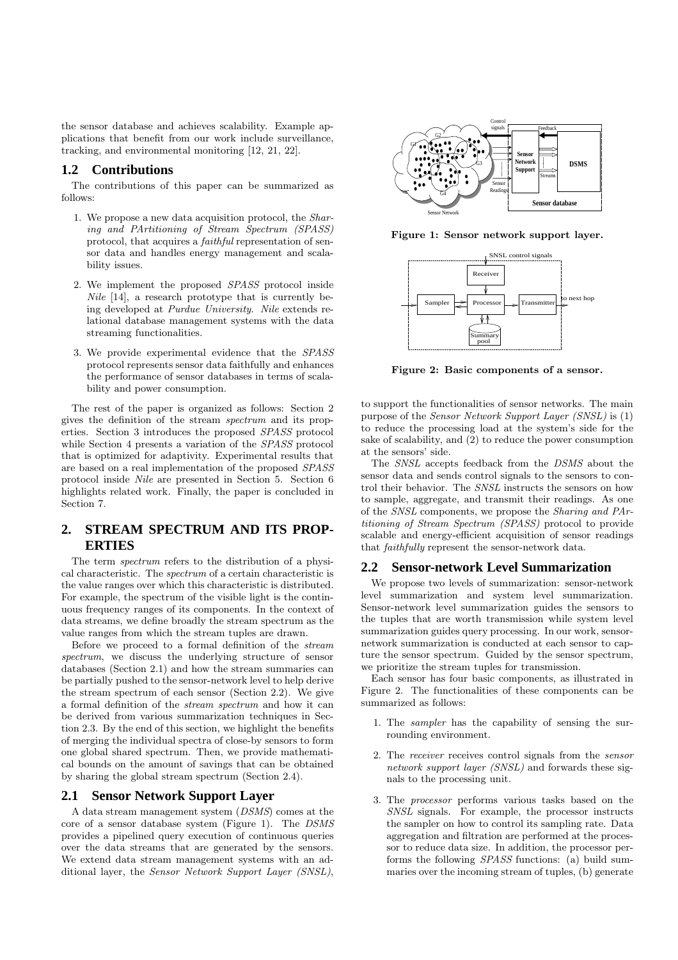the sensor database and achieves scalability. Example applications that benefit from our work include surveillance, tracking, and environmental monitoring [12, 21, 22].

## **1.2 Contributions**

The contributions of this paper can be summarized as follows:

- 1. We propose a new data acquisition protocol, the Sharing and PArtitioning of Stream Spectrum (SPASS) protocol, that acquires a faithful representation of sensor data and handles energy management and scalability issues.
- 2. We implement the proposed SPASS protocol inside Nile [14], a research prototype that is currently being developed at Purdue University. Nile extends relational database management systems with the data streaming functionalities.
- 3. We provide experimental evidence that the SPASS protocol represents sensor data faithfully and enhances the performance of sensor databases in terms of scalability and power consumption.

The rest of the paper is organized as follows: Section 2 gives the definition of the stream spectrum and its properties. Section 3 introduces the proposed SPASS protocol while Section 4 presents a variation of the SPASS protocol that is optimized for adaptivity. Experimental results that are based on a real implementation of the proposed SPASS protocol inside Nile are presented in Section 5. Section 6 highlights related work. Finally, the paper is concluded in Section 7.

# **2. STREAM SPECTRUM AND ITS PROP-ERTIES**

The term spectrum refers to the distribution of a physical characteristic. The spectrum of a certain characteristic is the value ranges over which this characteristic is distributed. For example, the spectrum of the visible light is the continuous frequency ranges of its components. In the context of data streams, we define broadly the stream spectrum as the value ranges from which the stream tuples are drawn.

Before we proceed to a formal definition of the stream spectrum, we discuss the underlying structure of sensor databases (Section 2.1) and how the stream summaries can be partially pushed to the sensor-network level to help derive the stream spectrum of each sensor (Section 2.2). We give a formal definition of the stream spectrum and how it can be derived from various summarization techniques in Section 2.3. By the end of this section, we highlight the benefits of merging the individual spectra of close-by sensors to form one global shared spectrum. Then, we provide mathematical bounds on the amount of savings that can be obtained by sharing the global stream spectrum (Section 2.4).

## **2.1 Sensor Network Support Layer**

A data stream management system (DSMS) comes at the core of a sensor database system (Figure 1). The DSMS provides a pipelined query execution of continuous queries over the data streams that are generated by the sensors. We extend data stream management systems with an additional layer, the *Sensor Network Support Layer (SNSL)*,



Figure 1: Sensor network support layer.



Figure 2: Basic components of a sensor.

to support the functionalities of sensor networks. The main purpose of the Sensor Network Support Layer (SNSL) is (1) to reduce the processing load at the system's side for the sake of scalability, and (2) to reduce the power consumption at the sensors' side.

The SNSL accepts feedback from the DSMS about the sensor data and sends control signals to the sensors to control their behavior. The SNSL instructs the sensors on how to sample, aggregate, and transmit their readings. As one of the SNSL components, we propose the Sharing and PArtitioning of Stream Spectrum (SPASS) protocol to provide scalable and energy-efficient acquisition of sensor readings that faithfully represent the sensor-network data.

## **2.2 Sensor-network Level Summarization**

We propose two levels of summarization: sensor-network level summarization and system level summarization. Sensor-network level summarization guides the sensors to the tuples that are worth transmission while system level summarization guides query processing. In our work, sensornetwork summarization is conducted at each sensor to capture the sensor spectrum. Guided by the sensor spectrum, we prioritize the stream tuples for transmission.

Each sensor has four basic components, as illustrated in Figure 2. The functionalities of these components can be summarized as follows:

- 1. The sampler has the capability of sensing the surrounding environment.
- 2. The receiver receives control signals from the sensor network support layer (SNSL) and forwards these signals to the processing unit.
- 3. The processor performs various tasks based on the SNSL signals. For example, the processor instructs the sampler on how to control its sampling rate. Data aggregation and filtration are performed at the processor to reduce data size. In addition, the processor performs the following SPASS functions: (a) build summaries over the incoming stream of tuples, (b) generate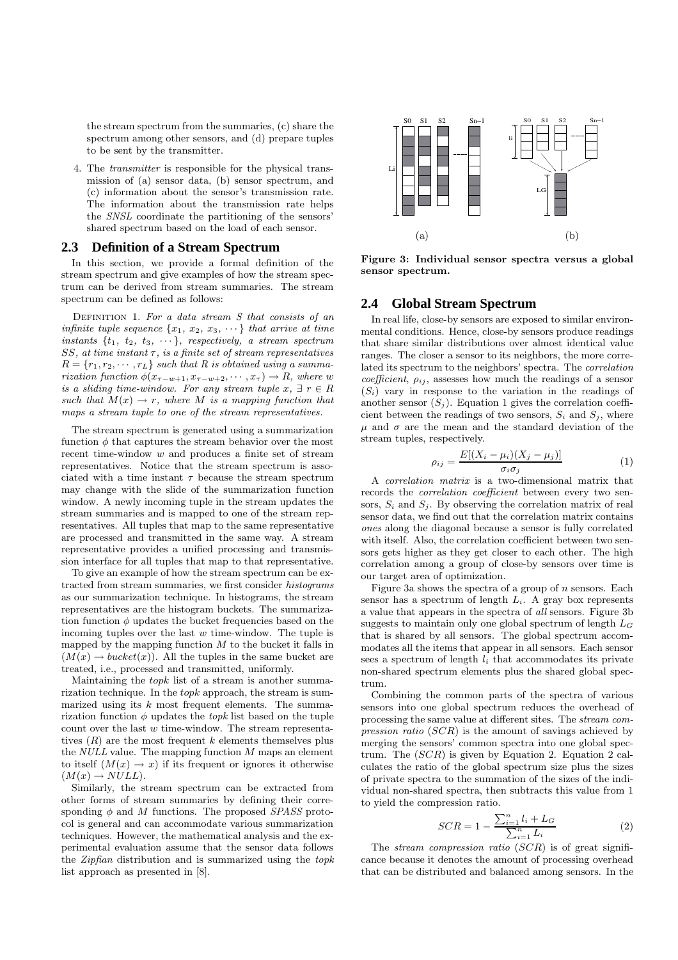the stream spectrum from the summaries, (c) share the spectrum among other sensors, and (d) prepare tuples to be sent by the transmitter.

4. The transmitter is responsible for the physical transmission of (a) sensor data, (b) sensor spectrum, and (c) information about the sensor's transmission rate. The information about the transmission rate helps the SNSL coordinate the partitioning of the sensors' shared spectrum based on the load of each sensor.

#### **2.3 Definition of a Stream Spectrum**

In this section, we provide a formal definition of the stream spectrum and give examples of how the stream spectrum can be derived from stream summaries. The stream spectrum can be defined as follows:

DEFINITION 1. For a data stream  $S$  that consists of an infinite tuple sequence  $\{x_1, x_2, x_3, \cdots\}$  that arrive at time instants  $\{t_1, t_2, t_3, \cdots\}$ , respectively, a stream spectrum  $SS,$  at time instant  $\tau$ , is a finite set of stream representatives  $R = \{r_1, r_2, \cdots, r_L\}$  such that R is obtained using a summarization function  $\phi(x_{\tau-w+1}, x_{\tau-w+2}, \cdots, x_{\tau}) \rightarrow R$ , where w is a sliding time-window. For any stream tuple  $x, \exists r \in R$ such that  $M(x) \to r$ , where M is a mapping function that maps a stream tuple to one of the stream representatives.

The stream spectrum is generated using a summarization function  $\phi$  that captures the stream behavior over the most recent time-window w and produces a finite set of stream representatives. Notice that the stream spectrum is associated with a time instant  $\tau$  because the stream spectrum may change with the slide of the summarization function window. A newly incoming tuple in the stream updates the stream summaries and is mapped to one of the stream representatives. All tuples that map to the same representative are processed and transmitted in the same way. A stream representative provides a unified processing and transmission interface for all tuples that map to that representative.

To give an example of how the stream spectrum can be extracted from stream summaries, we first consider histograms as our summarization technique. In histograms, the stream representatives are the histogram buckets. The summarization function  $\phi$  updates the bucket frequencies based on the incoming tuples over the last  $w$  time-window. The tuple is mapped by the mapping function  $M$  to the bucket it falls in  $(M(x) \rightarrow bucket(x))$ . All the tuples in the same bucket are treated, i.e., processed and transmitted, uniformly.

Maintaining the topk list of a stream is another summarization technique. In the topk approach, the stream is summarized using its  $k$  most frequent elements. The summarization function  $\phi$  updates the *topk* list based on the tuple count over the last  $w$  time-window. The stream representatives  $(R)$  are the most frequent k elements themselves plus the NULL value. The mapping function M maps an element to itself  $(M(x) \rightarrow x)$  if its frequent or ignores it otherwise  $(M(x) \rightarrow NULL).$ 

Similarly, the stream spectrum can be extracted from other forms of stream summaries by defining their corresponding  $\phi$  and M functions. The proposed SPASS protocol is general and can accommodate various summarization techniques. However, the mathematical analysis and the experimental evaluation assume that the sensor data follows the Zipfian distribution and is summarized using the topk list approach as presented in [8].



Figure 3: Individual sensor spectra versus a global sensor spectrum.

#### **2.4 Global Stream Spectrum**

In real life, close-by sensors are exposed to similar environmental conditions. Hence, close-by sensors produce readings that share similar distributions over almost identical value ranges. The closer a sensor to its neighbors, the more correlated its spectrum to the neighbors' spectra. The correlation coefficient,  $\rho_{ij}$ , assesses how much the readings of a sensor  $(S_i)$  vary in response to the variation in the readings of another sensor  $(S_j)$ . Equation 1 gives the correlation coefficient between the readings of two sensors,  $S_i$  and  $S_j$ , where  $\mu$  and  $\sigma$  are the mean and the standard deviation of the stream tuples, respectively.

$$
\rho_{ij} = \frac{E[(X_i - \mu_i)(X_j - \mu_j)]}{\sigma_i \sigma_j} \tag{1}
$$

A correlation matrix is a two-dimensional matrix that records the *correlation coefficient* between every two sensors,  $S_i$  and  $S_j$ . By observing the correlation matrix of real sensor data, we find out that the correlation matrix contains ones along the diagonal because a sensor is fully correlated with itself. Also, the correlation coefficient between two sensors gets higher as they get closer to each other. The high correlation among a group of close-by sensors over time is our target area of optimization.

Figure 3a shows the spectra of a group of  $n$  sensors. Each sensor has a spectrum of length  $L_i$ . A gray box represents a value that appears in the spectra of all sensors. Figure 3b suggests to maintain only one global spectrum of length  $L_G$ that is shared by all sensors. The global spectrum accommodates all the items that appear in all sensors. Each sensor sees a spectrum of length  $l_i$  that accommodates its private non-shared spectrum elements plus the shared global spectrum.

Combining the common parts of the spectra of various sensors into one global spectrum reduces the overhead of processing the same value at different sites. The stream com*pression ratio*  $(SCR)$  is the amount of savings achieved by merging the sensors' common spectra into one global spectrum. The  $(SCR)$  is given by Equation 2. Equation 2 calculates the ratio of the global spectrum size plus the sizes of private spectra to the summation of the sizes of the individual non-shared spectra, then subtracts this value from 1 to yield the compression ratio.

$$
SCR = 1 - \frac{\sum_{i=1}^{n} l_i + L_G}{\sum_{i=1}^{n} L_i}
$$
 (2)

The stream compression ratio  $(SCR)$  is of great significance because it denotes the amount of processing overhead that can be distributed and balanced among sensors. In the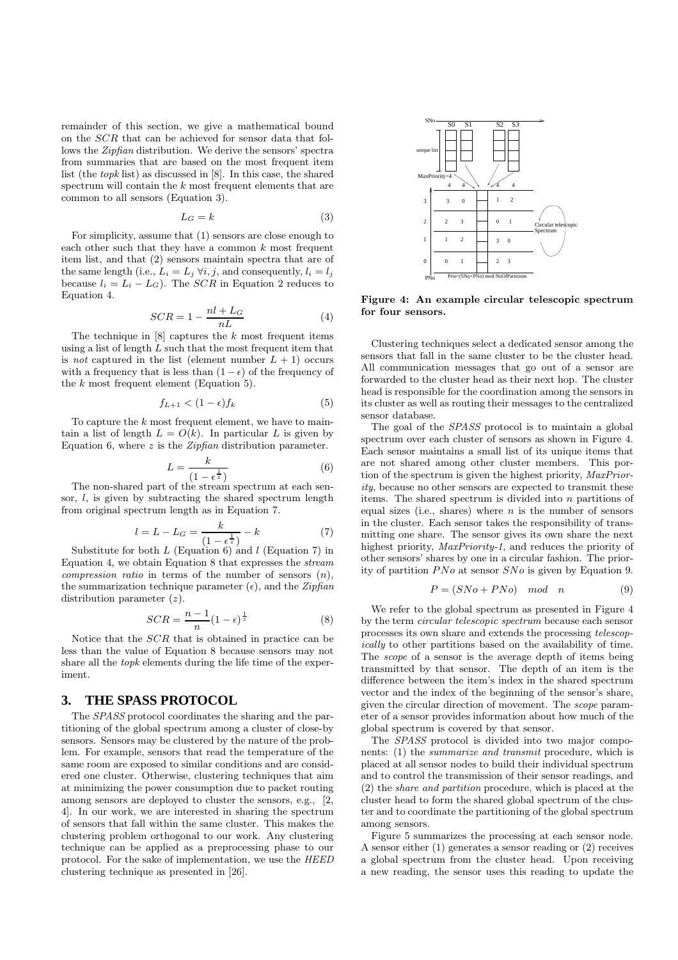remainder of this section, we give a mathematical bound on the SCR that can be achieved for sensor data that follows the Zipfian distribution. We derive the sensors' spectra from summaries that are based on the most frequent item list (the topk list) as discussed in [8]. In this case, the shared spectrum will contain the  $k$  most frequent elements that are common to all sensors (Equation 3).

$$
L_G = k \tag{3}
$$

For simplicity, assume that (1) sensors are close enough to each other such that they have a common  $k$  most frequent item list, and that (2) sensors maintain spectra that are of the same length (i.e.,  $L_i = L_j \,\forall i, j$ , and consequently,  $l_i = l_j$ because  $l_i = L_i - L_G$ . The *SCR* in Equation 2 reduces to Equation 4.

$$
SCR = 1 - \frac{nl + L_G}{nL} \tag{4}
$$

The technique in  $[8]$  captures the k most frequent items using a list of length  $L$  such that the most frequent item that is not captured in the list (element number  $L + 1$ ) occurs with a frequency that is less than  $(1 - \epsilon)$  of the frequency of the k most frequent element (Equation 5).

$$
f_{L+1} < (1 - \epsilon)f_k \tag{5}
$$

To capture the  $k$  most frequent element, we have to maintain a list of length  $L = O(k)$ . In particular L is given by Equation 6, where  $z$  is the *Zipfian* distribution parameter.

$$
L = \frac{k}{\left(1 - \epsilon^{\frac{1}{z}}\right)}\tag{6}
$$

The non-shared part of the stream spectrum at each sensor, l, is given by subtracting the shared spectrum length from original spectrum length as in Equation 7.

$$
l = L - L_G = \frac{k}{(1 - \epsilon^{\frac{1}{z}})} - k
$$
 (7)

Substitute for both  $L$  (Equation 6) and  $l$  (Equation 7) in Equation 4, we obtain Equation 8 that expresses the stream *compression ratio* in terms of the number of sensors  $(n)$ , the summarization technique parameter  $(\epsilon)$ , and the Zipfian distribution parameter  $(z)$ .

$$
SCR = \frac{n-1}{n}(1-\epsilon)^{\frac{1}{z}}
$$
\n(8)

Notice that the SCR that is obtained in practice can be less than the value of Equation 8 because sensors may not share all the topk elements during the life time of the experiment.

## **3. THE SPASS PROTOCOL**

The SPASS protocol coordinates the sharing and the partitioning of the global spectrum among a cluster of close-by sensors. Sensors may be clustered by the nature of the problem. For example, sensors that read the temperature of the same room are exposed to similar conditions and are considered one cluster. Otherwise, clustering techniques that aim at minimizing the power consumption due to packet routing among sensors are deployed to cluster the sensors, e.g., [2, 4]. In our work, we are interested in sharing the spectrum of sensors that fall within the same cluster. This makes the clustering problem orthogonal to our work. Any clustering technique can be applied as a preprocessing phase to our protocol. For the sake of implementation, we use the HEED clustering technique as presented in [26].



Figure 4: An example circular telescopic spectrum for four sensors.

Clustering techniques select a dedicated sensor among the sensors that fall in the same cluster to be the cluster head. All communication messages that go out of a sensor are forwarded to the cluster head as their next hop. The cluster head is responsible for the coordination among the sensors in its cluster as well as routing their messages to the centralized sensor database.

The goal of the SPASS protocol is to maintain a global spectrum over each cluster of sensors as shown in Figure 4. Each sensor maintains a small list of its unique items that are not shared among other cluster members. This portion of the spectrum is given the highest priority, MaxPriority, because no other sensors are expected to transmit these items. The shared spectrum is divided into  $n$  partitions of equal sizes (i.e., shares) where  $n$  is the number of sensors in the cluster. Each sensor takes the responsibility of transmitting one share. The sensor gives its own share the next highest priority,  $MaxPriority-1$ , and reduces the priority of other sensors' shares by one in a circular fashion. The priority of partition  $P N o$  at sensor  $S N o$  is given by Equation 9.

$$
P = (SNo + PNo) \mod n \tag{9}
$$

We refer to the global spectrum as presented in Figure 4 by the term circular telescopic spectrum because each sensor processes its own share and extends the processing telescopically to other partitions based on the availability of time. The *scope* of a sensor is the average depth of items being transmitted by that sensor. The depth of an item is the difference between the item's index in the shared spectrum vector and the index of the beginning of the sensor's share, given the circular direction of movement. The scope parameter of a sensor provides information about how much of the global spectrum is covered by that sensor.

The SPASS protocol is divided into two major components: (1) the summarize and transmit procedure, which is placed at all sensor nodes to build their individual spectrum and to control the transmission of their sensor readings, and (2) the share and partition procedure, which is placed at the cluster head to form the shared global spectrum of the cluster and to coordinate the partitioning of the global spectrum among sensors.

Figure 5 summarizes the processing at each sensor node. A sensor either (1) generates a sensor reading or (2) receives a global spectrum from the cluster head. Upon receiving a new reading, the sensor uses this reading to update the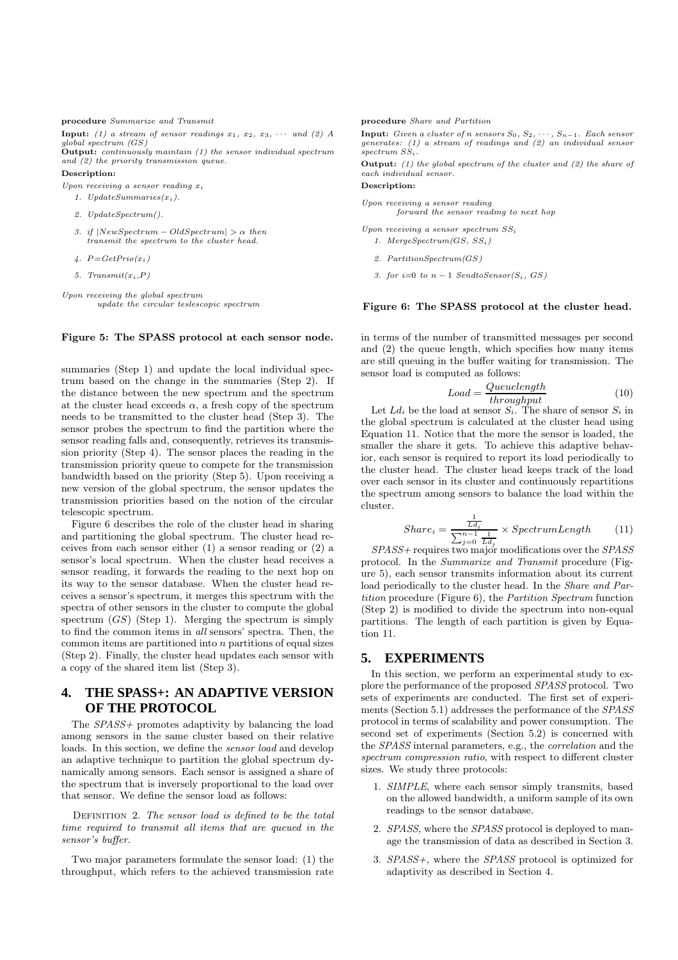procedure Summarize and Transmit

**Input:** (1) a stream of sensor readings  $x_1, x_2, x_3, \cdots$  and (2) A global spectrum (GS)

Output: continuously maintain (1) the sensor individual spectrum and (2) the priority transmission queue.

Description:

Upon receiving a sensor reading  $x_i$ 1. UpdateSummaries $(x_i)$ .

- 2. UpdateSpectrum().
- 3. if  $|NewSpectrum OldSpectrum| > \alpha$  then transmit the spectrum to the cluster head.
- 4.  $P = GetPrior(x_i)$
- 5. Transmit $(x_i, P)$

Upon receiving the global spectrum update the circular teslescopic spectrum

#### Figure 5: The SPASS protocol at each sensor node.

summaries (Step 1) and update the local individual spectrum based on the change in the summaries (Step 2). If the distance between the new spectrum and the spectrum at the cluster head exceeds  $\alpha$ , a fresh copy of the spectrum needs to be transmitted to the cluster head (Step 3). The sensor probes the spectrum to find the partition where the sensor reading falls and, consequently, retrieves its transmission priority (Step 4). The sensor places the reading in the transmission priority queue to compete for the transmission bandwidth based on the priority (Step 5). Upon receiving a new version of the global spectrum, the sensor updates the transmission priorities based on the notion of the circular telescopic spectrum.

Figure 6 describes the role of the cluster head in sharing and partitioning the global spectrum. The cluster head receives from each sensor either (1) a sensor reading or (2) a sensor's local spectrum. When the cluster head receives a sensor reading, it forwards the reading to the next hop on its way to the sensor database. When the cluster head receives a sensor's spectrum, it merges this spectrum with the spectra of other sensors in the cluster to compute the global spectrum  $(GS)$  (Step 1). Merging the spectrum is simply to find the common items in all sensors' spectra. Then, the  $common items are partitioned into *n* partitions of equal sizes$ (Step 2). Finally, the cluster head updates each sensor with a copy of the shared item list (Step 3).

# **4. THE SPASS+: AN ADAPTIVE VERSION OF THE PROTOCOL**

The SPASS+ promotes adaptivity by balancing the load among sensors in the same cluster based on their relative loads. In this section, we define the *sensor load* and develop an adaptive technique to partition the global spectrum dynamically among sensors. Each sensor is assigned a share of the spectrum that is inversely proportional to the load over that sensor. We define the sensor load as follows:

DEFINITION 2. The sensor load is defined to be the total time required to transmit all items that are queued in the sensor's buffer.

Two major parameters formulate the sensor load: (1) the throughput, which refers to the achieved transmission rate procedure Share and Partition

**Input:** Given a cluster of n sensors  $S_0$ ,  $S_2$ ,  $\dots$ ,  $S_{n-1}$ . Each sensor generates: (1) a stream of readings and (2) an individual sensor  $spectrum SS_i$ .

**Output:** (1) the global spectrum of the cluster and (2) the share of each individual sensor.

Description:

Upon receiving a sensor reading forward the sensor reading to next hop

Upon receiving a sensor spectrum  $SS_i$ 

- 1. MergeSpectrum(GS,  $SS_i$ )
- 2. PartitionSpectrum(GS)
- 3. for  $i=0$  to  $n-1$  SendtoSensor(S<sub>i</sub>, GS)

#### Figure 6: The SPASS protocol at the cluster head.

in terms of the number of transmitted messages per second and (2) the queue length, which specifies how many items are still queuing in the buffer waiting for transmission. The sensor load is computed as follows:

$$
Load = \frac{Queuelength}{throughput}
$$
 (10)

Let  $Ld_i$  be the load at sensor  $S_i$ . The share of sensor  $S_i$  in the global spectrum is calculated at the cluster head using Equation 11. Notice that the more the sensor is loaded, the smaller the share it gets. To achieve this adaptive behavior, each sensor is required to report its load periodically to the cluster head. The cluster head keeps track of the load over each sensor in its cluster and continuously repartitions the spectrum among sensors to balance the load within the cluster.

$$
Share_i = \frac{\frac{1}{Ld_i}}{\sum_{j=0}^{n-1} \frac{1}{Ld_j}} \times SpectrumLength \qquad (11)
$$

 $\frac{\sum_{j=0}^{I} \overline{Ld_j}}{Ld_j}$  spaces two major modifications over the SPASS protocol. In the Summarize and Transmit procedure (Figure 5), each sensor transmits information about its current load periodically to the cluster head. In the *Share and Par*tition procedure (Figure 6), the Partition Spectrum function (Step 2) is modified to divide the spectrum into non-equal partitions. The length of each partition is given by Equation 11.

#### **5. EXPERIMENTS**

In this section, we perform an experimental study to explore the performance of the proposed SPASS protocol. Two sets of experiments are conducted. The first set of experiments (Section 5.1) addresses the performance of the SPASS protocol in terms of scalability and power consumption. The second set of experiments (Section 5.2) is concerned with the SPASS internal parameters, e.g., the correlation and the spectrum compression ratio, with respect to different cluster sizes. We study three protocols:

- 1. SIMPLE, where each sensor simply transmits, based on the allowed bandwidth, a uniform sample of its own readings to the sensor database.
- 2. SPASS, where the SPASS protocol is deployed to manage the transmission of data as described in Section 3.
- 3. SPASS+, where the SPASS protocol is optimized for adaptivity as described in Section 4.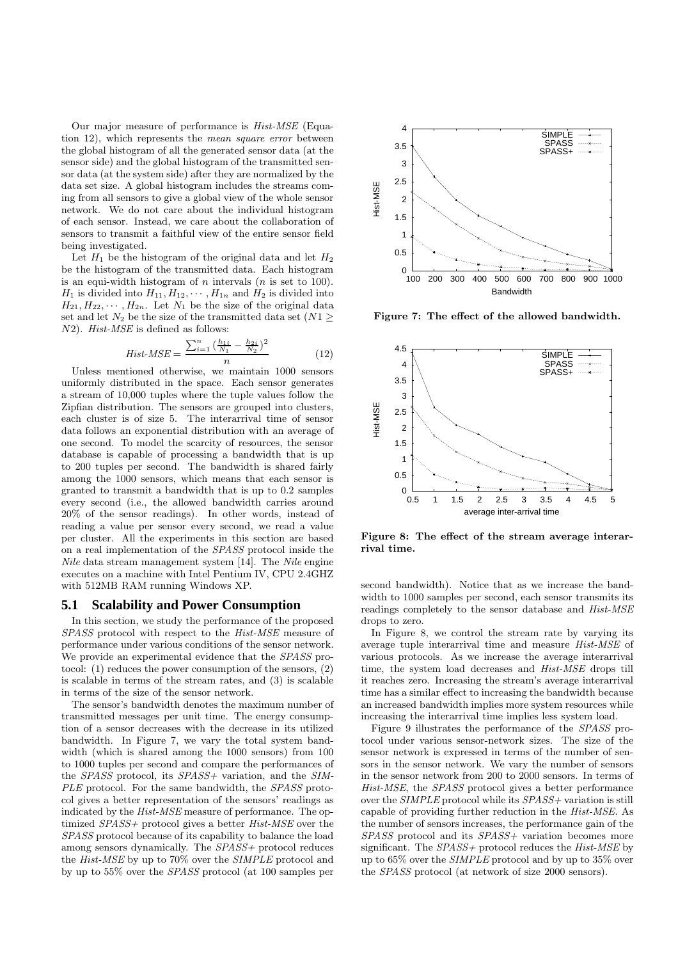Our major measure of performance is Hist-MSE (Equation 12), which represents the mean square error between the global histogram of all the generated sensor data (at the sensor side) and the global histogram of the transmitted sensor data (at the system side) after they are normalized by the data set size. A global histogram includes the streams coming from all sensors to give a global view of the whole sensor network. We do not care about the individual histogram of each sensor. Instead, we care about the collaboration of sensors to transmit a faithful view of the entire sensor field being investigated.

Let  $H_1$  be the histogram of the original data and let  $H_2$ be the histogram of the transmitted data. Each histogram is an equi-width histogram of  $n$  intervals  $(n$  is set to 100).  $H_1$  is divided into  $H_{11}, H_{12}, \cdots, H_{1n}$  and  $H_2$  is divided into  $H_{21}, H_{22}, \cdots, H_{2n}$ . Let  $N_1$  be the size of the original data set and let  $N_2$  be the size of the transmitted data set  $(N1 >$ N2). Hist-MSE is defined as follows:

$$
Hist\text{-}MSE = \frac{\sum_{i=1}^{n} \left(\frac{h_{1i}}{N_1} - \frac{h_{2i}}{N_2}\right)^2}{n} \tag{12}
$$

Unless mentioned otherwise, we maintain 1000 sensors uniformly distributed in the space. Each sensor generates a stream of 10,000 tuples where the tuple values follow the Zipfian distribution. The sensors are grouped into clusters, each cluster is of size 5. The interarrival time of sensor data follows an exponential distribution with an average of one second. To model the scarcity of resources, the sensor database is capable of processing a bandwidth that is up to 200 tuples per second. The bandwidth is shared fairly among the 1000 sensors, which means that each sensor is granted to transmit a bandwidth that is up to 0.2 samples every second (i.e., the allowed bandwidth carries around 20% of the sensor readings). In other words, instead of reading a value per sensor every second, we read a value per cluster. All the experiments in this section are based on a real implementation of the SPASS protocol inside the Nile data stream management system [14]. The Nile engine executes on a machine with Intel Pentium IV, CPU 2.4GHZ with 512MB RAM running Windows XP.

### **5.1 Scalability and Power Consumption**

In this section, we study the performance of the proposed SPASS protocol with respect to the Hist-MSE measure of performance under various conditions of the sensor network. We provide an experimental evidence that the SPASS protocol: (1) reduces the power consumption of the sensors, (2) is scalable in terms of the stream rates, and (3) is scalable in terms of the size of the sensor network.

The sensor's bandwidth denotes the maximum number of transmitted messages per unit time. The energy consumption of a sensor decreases with the decrease in its utilized bandwidth. In Figure 7, we vary the total system bandwidth (which is shared among the 1000 sensors) from 100 to 1000 tuples per second and compare the performances of the SPASS protocol, its SPASS+ variation, and the SIM-PLE protocol. For the same bandwidth, the SPASS protocol gives a better representation of the sensors' readings as indicated by the Hist-MSE measure of performance. The optimized SPASS+ protocol gives a better Hist-MSE over the SPASS protocol because of its capability to balance the load among sensors dynamically. The SPASS+ protocol reduces the Hist-MSE by up to 70% over the SIMPLE protocol and by up to 55% over the SPASS protocol (at 100 samples per



Figure 7: The effect of the allowed bandwidth.



Figure 8: The effect of the stream average interarrival time.

second bandwidth). Notice that as we increase the bandwidth to 1000 samples per second, each sensor transmits its readings completely to the sensor database and Hist-MSE drops to zero.

In Figure 8, we control the stream rate by varying its average tuple interarrival time and measure Hist-MSE of various protocols. As we increase the average interarrival time, the system load decreases and *Hist-MSE* drops till it reaches zero. Increasing the stream's average interarrival time has a similar effect to increasing the bandwidth because an increased bandwidth implies more system resources while increasing the interarrival time implies less system load.

Figure 9 illustrates the performance of the SPASS protocol under various sensor-network sizes. The size of the sensor network is expressed in terms of the number of sensors in the sensor network. We vary the number of sensors in the sensor network from 200 to 2000 sensors. In terms of Hist-MSE, the SPASS protocol gives a better performance over the *SIMPLE* protocol while its *SPASS*+ variation is still capable of providing further reduction in the Hist-MSE. As the number of sensors increases, the performance gain of the SPASS protocol and its SPASS+ variation becomes more significant. The  $SPASS+$  protocol reduces the  $Hist-MSE$  by up to  $65\%$  over the *SIMPLE* protocol and by up to  $35\%$  over the SPASS protocol (at network of size 2000 sensors).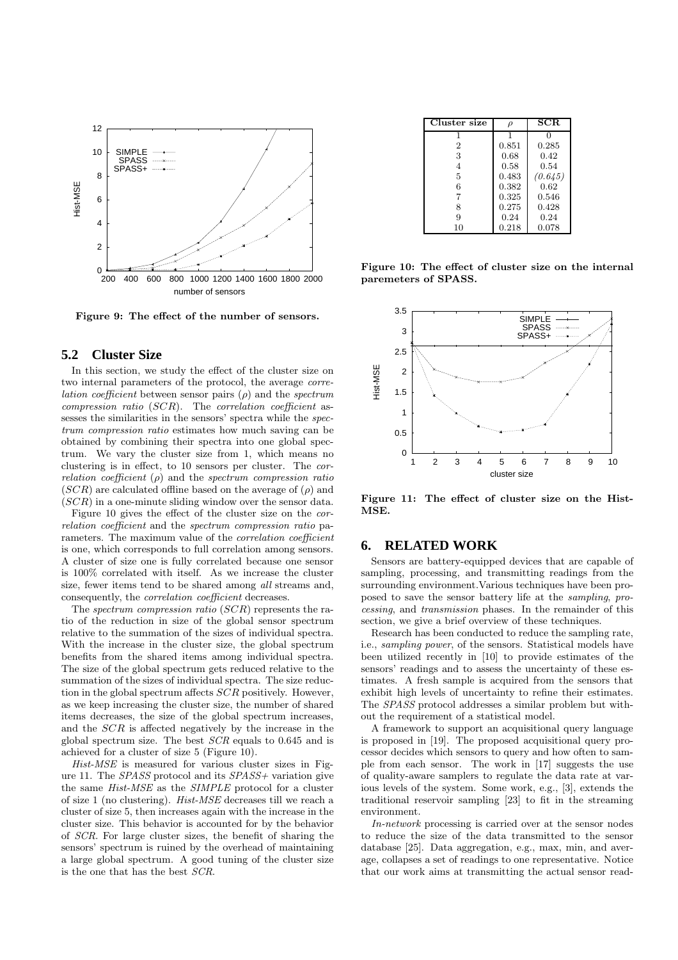

Figure 9: The effect of the number of sensors.

#### **5.2 Cluster Size**

In this section, we study the effect of the cluster size on two internal parameters of the protocol, the average corre*lation coefficient* between sensor pairs  $(\rho)$  and the *spectrum* compression ratio (SCR). The correlation coefficient assesses the similarities in the sensors' spectra while the *spec*trum compression ratio estimates how much saving can be obtained by combining their spectra into one global spectrum. We vary the cluster size from 1, which means no clustering is in effect, to 10 sensors per cluster. The correlation coefficient  $(\rho)$  and the spectrum compression ratio  $(SCR)$  are calculated offline based on the average of  $(\rho)$  and (SCR) in a one-minute sliding window over the sensor data.

Figure 10 gives the effect of the cluster size on the correlation coefficient and the spectrum compression ratio parameters. The maximum value of the correlation coefficient is one, which corresponds to full correlation among sensors. A cluster of size one is fully correlated because one sensor is 100% correlated with itself. As we increase the cluster size, fewer items tend to be shared among all streams and, consequently, the correlation coefficient decreases.

The *spectrum compression ratio* (*SCR*) represents the ratio of the reduction in size of the global sensor spectrum relative to the summation of the sizes of individual spectra. With the increase in the cluster size, the global spectrum benefits from the shared items among individual spectra. The size of the global spectrum gets reduced relative to the summation of the sizes of individual spectra. The size reduction in the global spectrum affects SCR positively. However, as we keep increasing the cluster size, the number of shared items decreases, the size of the global spectrum increases, and the SCR is affected negatively by the increase in the global spectrum size. The best SCR equals to 0.645 and is achieved for a cluster of size 5 (Figure 10).

Hist-MSE is measured for various cluster sizes in Figure 11. The *SPASS* protocol and its *SPASS* + variation give the same Hist-MSE as the SIMPLE protocol for a cluster of size 1 (no clustering). Hist-MSE decreases till we reach a cluster of size 5, then increases again with the increase in the cluster size. This behavior is accounted for by the behavior of SCR. For large cluster sizes, the benefit of sharing the sensors' spectrum is ruined by the overhead of maintaining a large global spectrum. A good tuning of the cluster size is the one that has the best SCR.

| Cluster size   | $\mathcal{O}$ | SCR.    |
|----------------|---------------|---------|
|                |               |         |
| $\overline{2}$ | 0.851         | 0.285   |
| 3              | 0.68          | 0.42    |
| 4              | 0.58          | 0.54    |
| 5              | 0.483         | (0.645) |
| 6              | 0.382         | 0.62    |
|                | 0.325         | 0.546   |
| 8              | 0.275         | 0.428   |
| 9              | 0.24          | 0.24    |
| 10             | 0.218         | 0.078   |

Figure 10: The effect of cluster size on the internal paremeters of SPASS.



Figure 11: The effect of cluster size on the Hist-MSE.

## **6. RELATED WORK**

Sensors are battery-equipped devices that are capable of sampling, processing, and transmitting readings from the surrounding environment.Various techniques have been proposed to save the sensor battery life at the sampling, processing, and transmission phases. In the remainder of this section, we give a brief overview of these techniques.

Research has been conducted to reduce the sampling rate, i.e., sampling power, of the sensors. Statistical models have been utilized recently in [10] to provide estimates of the sensors' readings and to assess the uncertainty of these estimates. A fresh sample is acquired from the sensors that exhibit high levels of uncertainty to refine their estimates. The SPASS protocol addresses a similar problem but without the requirement of a statistical model.

A framework to support an acquisitional query language is proposed in [19]. The proposed acquisitional query processor decides which sensors to query and how often to sample from each sensor. The work in [17] suggests the use of quality-aware samplers to regulate the data rate at various levels of the system. Some work, e.g., [3], extends the traditional reservoir sampling [23] to fit in the streaming environment.

In-network processing is carried over at the sensor nodes to reduce the size of the data transmitted to the sensor database [25]. Data aggregation, e.g., max, min, and average, collapses a set of readings to one representative. Notice that our work aims at transmitting the actual sensor read